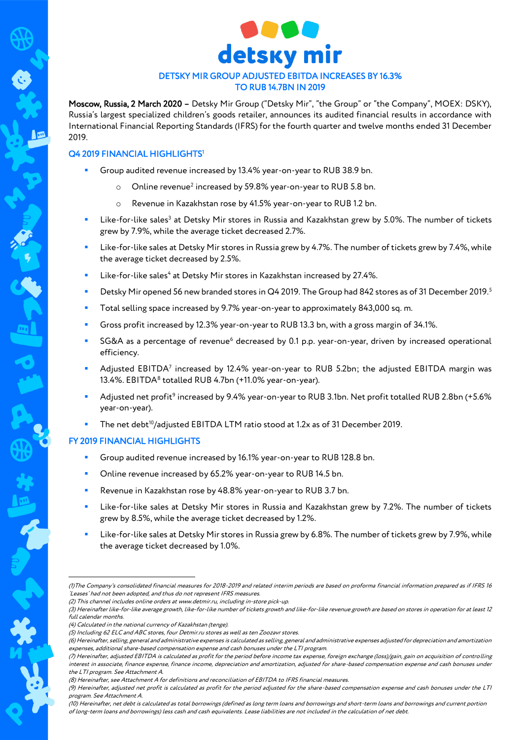

# DETSKY MIR GROUP ADJUSTED EBITDA INCREASES BY 16.3% TO RUB 14.7BN IN 2019

Moscow, Russia, 2 March 2020 – Detsky Mir Group ("Detsky Mir", "the Group" or "the Company", MOEX: DSKY), Russia's largest specialized children's goods retailer, announces its audited financial results in accordance with International Financial Reporting Standards (IFRS) for the fourth quarter and twelve months ended 31 December 2019.

# Q4 2019 FINANCIAL HIGHLIGHTS<sup>1</sup>

- Group audited revenue increased by 13.4% year-on-year to RUB 38.9 bn.
	- $\circ$  Online revenue<sup>2</sup> increased by 59.8% year-on-year to RUB 5.8 bn.
	- o Revenue in Kazakhstan rose by 41.5% year-on-year to RUB 1.2 bn.
- **EXECTS:** Like-for-like sales<sup>3</sup> at Detsky Mir stores in Russia and Kazakhstan grew by 5.0%. The number of tickets grew by 7.9%, while the average ticket decreased 2.7%.
- Like-for-like sales at Detsky Mir stores in Russia grew by 4.7%. The number of tickets grew by 7.4%, while the average ticket decreased by 2.5%.
- **EXECTE:** Like-for-like sales<sup>4</sup> at Detsky Mir stores in Kazakhstan increased by 27.4%.
- Detsky Mir opened 56 new branded stores in Q4 2019. The Group had 842 stores as of 31 December 2019.<sup>5</sup>
- Total selling space increased by 9.7% year-on-year to approximately 843,000 sq. m.
- Gross profit increased by 12.3% year-on-year to RUB 13.3 bn, with a gross margin of 34.1%.
- SG&A as a percentage of revenue<sup>6</sup> decreased by 0.1 p.p. year-on-year, driven by increased operational efficiency.
- **•** Adjusted EBITDA<sup>7</sup> increased by 12.4% year-on-year to RUB 5.2bn; the adjusted EBITDA margin was 13.4%. EBITDA<sup>8</sup> totalled RUB 4.7bn (+11.0% year-on-year).
- Adjusted net profit<sup>9</sup> increased by 9.4% year-on-year to RUB 3.1bn. Net profit totalled RUB 2.8bn (+5.6% year-on-year).
- The net debt<sup>10</sup>/adjusted EBITDA LTM ratio stood at 1.2x as of 31 December 2019.

## FY 2019 FINANCIAL HIGHLIGHTS

- Group audited revenue increased by 16.1% year-on-year to RUB 128.8 bn.
- Online revenue increased by 65.2% year-on-year to RUB 14.5 bn.
- Revenue in Kazakhstan rose by 48.8% year-on-year to RUB 3.7 bn.
- Like-for-like sales at Detsky Mir stores in Russia and Kazakhstan grew by 7.2%. The number of tickets grew by 8.5%, while the average ticket decreased by 1.2%.
- Like-for-like sales at Detsky Mir stores in Russia grew by 6.8%. The number of tickets grew by 7.9%, while the average ticket decreased by 1.0%.

1

<sup>(1)</sup>The Company's consolidated financial measures for 2018-2019 and related interim periods are based on proforma financial information prepared as if IFRS 16 'Leases' had not been adopted, and thus do not represent IFRS measures.

<sup>(2)</sup> This channel includes online orders a[t www.detmir.ru,](http://www.detmir.ru/) including in-store pick-up.

<sup>(3)</sup> Hereinafter like-for-like average growth, like-for-like number of tickets growth and like-for-like revenue growth are based on stores in operation for at least 12 full calendar months.

<sup>(4)</sup> Calculated in the national currency of Kazakhstan (tenge).

<sup>(5)</sup> Including 62 ELC and ABC stores, four Detmir.ru stores as well as ten Zoozavr stores.

<sup>(6)</sup> Hereinafter, selling, general and administrative expenses is calculated as selling, general and administrative expenses adjusted for depreciation and amortization expenses, additional share-based compensation expense and cash bonuses under the LTI program.

<sup>(7)</sup> Hereinafter, adjusted EBITDA is calculated as profit for the period before income tax expense, foreign exchange (loss)/gain, gain on acquisition of controlling interest in associate, finance expense, finance income, depreciation and amortization, adjusted for share-based compensation expense and cash bonuses under the LTI program. See Attachment A.

<sup>(8)</sup> Hereinafter, see Attachment A for definitions and reconciliation of EBITDA to IFRS financial measures.

<sup>(9)</sup> Hereinafter, adjusted net profit is calculated as profit for the period adjusted for the share-based compensation expense and cash bonuses under the LTI program. See Attachment A.

<sup>(10)</sup> Hereinafter, net debt is calculated as total borrowings (defined as long term loans and borrowings and short-term loans and borrowings and current portion of long-term loans and borrowings) less cash and cash equivalents. Lease liabilities are not included in the calculation of net debt.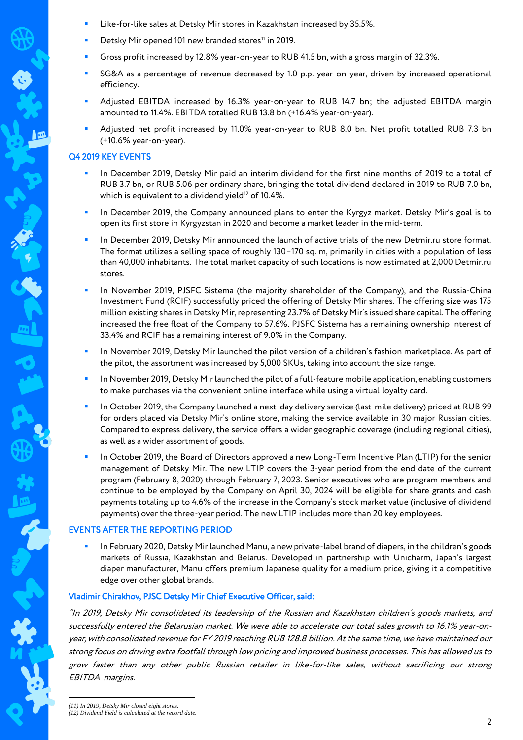- Like-for-like sales at Detsky Mir stores in Kazakhstan increased by 35.5%.
- Detsky Mir opened 101 new branded stores<sup>11</sup> in 2019.
- Gross profit increased by 12.8% year-on-year to RUB 41.5 bn, with a gross margin of 32.3%.
- SG&A as a percentage of revenue decreased by 1.0 p.p. year-on-year, driven by increased operational efficiency.
- Adjusted EBITDA increased by 16.3% year-on-year to RUB 14.7 bn; the adjusted EBITDA margin amounted to 11.4%. EBITDA totalled RUB 13.8 bn (+16.4% year-on-year).
- Adjusted net profit increased by 11.0% year-on-year to RUB 8.0 bn. Net profit totalled RUB 7.3 bn (+10.6% year-on-year).

## Q4 2019 KEY EVENTS

- In December 2019, Detsky Mir paid an interim dividend for the first nine months of 2019 to a total of RUB 3.7 bn, or RUB 5.06 per ordinary share, bringing the total dividend declared in 2019 to RUB 7.0 bn, which is equivalent to a dividend yield $12$  of 10.4%.
- In December 2019, the Company announced plans to enter the Kyrgyz market. Detsky Mir's goal is to open its first store in Kyrgyzstan in 2020 and become a market leader in the mid-term.
- In December 2019, Detsky Mir announced the launch of active trials of the new Detmir.ru store format. The format utilizes a selling space of roughly 130–170 sq. m, primarily in cities with a population of less than 40,000 inhabitants. The total market capacity of such locations is now estimated at 2,000 Detmir.ru stores.
- In November 2019, PJSFC Sistema (the majority shareholder of the Company), and the Russia-China Investment Fund (RCIF) successfully priced the offering of Detsky Mir shares. The offering size was 175 million existing shares in Detsky Mir, representing 23.7% of Detsky Mir's issued share capital. The offering increased the free float of the Company to 57.6%. PJSFC Sistema has a remaining ownership interest of 33.4% and RCIF has a remaining interest of 9.0% in the Company.
- In November 2019, Detsky Mir launched the pilot version of a children's fashion marketplace. As part of the pilot, the assortment was increased by 5,000 SKUs, taking into account the size range.
- In November 2019, Detsky Mir launched the pilot of a full-feature mobile application, enabling customers to make purchases via the convenient online interface while using a virtual loyalty card.
- In October 2019, the Company launched a next-day delivery service (last-mile delivery) priced at RUB 99 for orders placed via Detsky Mir's online store, making the service available in 30 major Russian cities. Compared to express delivery, the service offers a wider geographic coverage (including regional cities), as well as a wider assortment of goods.
- In October 2019, the Board of Directors approved a new Long-Term Incentive Plan (LTIP) for the senior management of Detsky Mir. The new LTIP covers the 3-year period from the end date of the current program (February 8, 2020) through February 7, 2023. Senior executives who are program members and continue to be employed by the Company on April 30, 2024 will be eligible for share grants and cash payments totaling up to 4.6% of the increase in the Company's stock market value (inclusive of dividend payments) over the three-year period. The new LTIP includes more than 20 key employees.

## EVENTS AFTER THE REPORTING PERIOD

 In February 2020, Detsky Mir launched Manu, a new private-label brand of diapers, in the children's goods markets of Russia, Kazakhstan and Belarus. Developed in partnership with Unicharm, Japan's largest diaper manufacturer, Manu offers premium Japanese quality for a medium price, giving it a competitive edge over other global brands.

## Vladimir Chirakhov, PJSC Detsky Mir Chief Executive Officer, said:

"In 2019, Detsky Mir consolidated its leadership of the Russian and Kazakhstan children's goods markets, and successfully entered the Belarusian market. We were able to accelerate our total sales growth to 16.1% year-onyear, with consolidated revenue for FY 2019 reaching RUB 128.8 billion. At the same time, we have maintained our strong focus on driving extra footfall through low pricing and improved business processes. This has allowed us to grow faster than any other public Russian retailer in like-for-like sales, without sacrificing our strong EBITDA margins.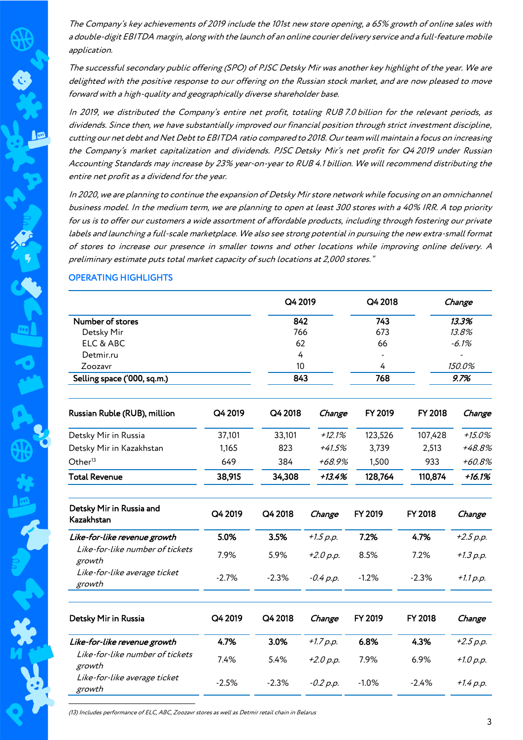The Company's key achievements of 2019 include the 101st new store opening, a 65% growth of online sales with a double-digit EBITDA margin, along with the launch of an online courier delivery service and a full-feature mobile application.

The successful secondary public offering (SPO) of PJSC Detsky Mir was another key highlight of the year. We are delighted with the positive response to our offering on the Russian stock market, and are now pleased to move forward with a high-quality and geographically diverse shareholder base.

In 2019, we distributed the Company's entire net profit, totaling RUB 7.0 billion for the relevant periods, as dividends. Since then, we have substantially improved our financial position through strict investment discipline, cutting our net debt and Net Debt to EBITDA ratio compared to 2018. Our team will maintain a focus on increasing the Company's market capitalization and dividends. PJSC Detsky Mir's net profit for Q4 2019 under Russian Accounting Standards may increase by 23% year-on-year to RUB 4.1 billion. We will recommend distributing the entire net profit as a dividend for the year.

In 2020, we are planning to continue the expansion of Detsky Mir store network while focusing on an omnichannel business model. In the medium term, we are planning to open at least 300 stores with a 40% IRR. A top priority for us is to offer our customers a wide assortment of affordable products, including through fostering our private labels and launching a full-scale marketplace. We also see strong potential in pursuing the new extra-small format of stores to increase our presence in smaller towns and other locations while improving online delivery. A preliminary estimate puts total market capacity of such locations at 2,000 stores."

# OPERATING HIGHLIGHTS

In

|                                           |         | Q4 2019 |             | Q4 2018      |         | Change      |  |
|-------------------------------------------|---------|---------|-------------|--------------|---------|-------------|--|
| Number of stores                          |         | 842     |             | 743<br>13.3% |         |             |  |
| Detsky Mir                                |         | 766     |             | 673          |         | 13.8%       |  |
| ELC & ABC                                 |         |         | 62          |              |         | $-6.1%$     |  |
| Detmir.ru                                 |         | 4       |             |              |         |             |  |
| Zoozavr                                   |         | 10      |             | 4            |         | 150.0%      |  |
| Selling space ('000, sq.m.)               |         | 843     |             | 768          |         | 9.7%        |  |
| Russian Ruble (RUB), million              | Q4 2019 | Q4 2018 | Change      | FY 2019      | FY 2018 | Change      |  |
| Detsky Mir in Russia                      | 37,101  | 33,101  | $+12.1%$    | 123,526      | 107,428 | $+15.0%$    |  |
| Detsky Mir in Kazakhstan                  | 1,165   | 823     | $+41.5%$    | 3,739        | 2,513   | +48.8%      |  |
| Other <sup>13</sup>                       | 649     | 384     | +68.9%      | 1,500        | 933     | +60.8%      |  |
| <b>Total Revenue</b>                      | 38,915  | 34,308  | $+13.4%$    | 128,764      | 110,874 | $+16.1%$    |  |
| Detsky Mir in Russia and<br>Kazakhstan    | Q4 2019 | Q4 2018 | Change      | FY 2019      | FY 2018 | Change      |  |
| Like-for-like revenue growth              | 5.0%    | 3.5%    | $+1.5 p.p.$ | 7.2%         | 4.7%    | $+2.5 p.p.$ |  |
| Like-for-like number of tickets<br>growth | 7.9%    | 5.9%    | $+2.0 p.p.$ | 8.5%         | 7.2%    | $+1.3 p.p.$ |  |
| Like-for-like average ticket<br>growth    | $-2.7%$ | $-2.3%$ | $-0.4 p.p.$ | $-1.2%$      | $-2.3%$ | $+1.1 p.p.$ |  |
| Detsky Mir in Russia                      | Q4 2019 | Q4 2018 | Change      | FY 2019      | FY 2018 | Change      |  |
| Like-for-like revenue growth              | 4.7%    | 3.0%    | $+1.7 p.p.$ | 6.8%         | 4.3%    | $+2.5 p.p.$ |  |
| Like-for-like number of tickets<br>growth | 7.4%    | 5.4%    | $+2.0 p.p.$ | 7.9%         | 6.9%    | $+1.0 p.p.$ |  |
| Like-for-like average ticket<br>growth    | $-2.5%$ | $-2.3%$ | $-0.2 p.p.$ | $-1.0%$      | $-2.4%$ | $+1.4 p.p.$ |  |

(13) Includes performance of ELC, ABC, Zoozavr stores as well as Detmir retail chain in Belarus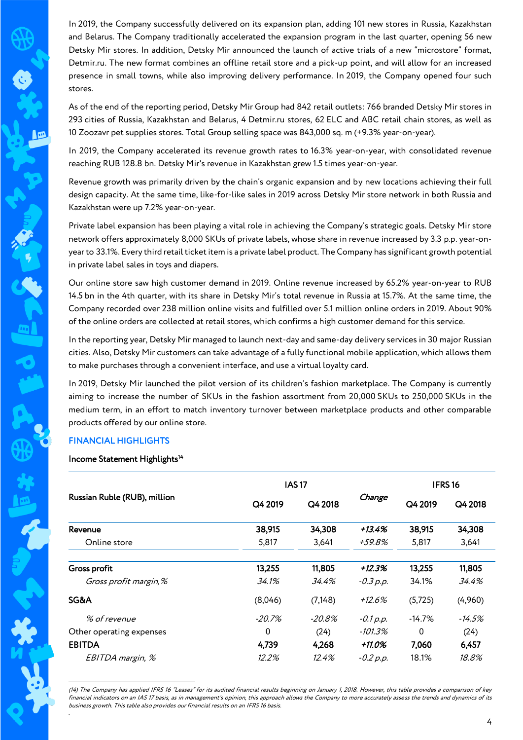In 2019, the Company successfully delivered on its expansion plan, adding 101 new stores in Russia, Kazakhstan and Belarus. The Company traditionally accelerated the expansion program in the last quarter, opening 56 new Detsky Mir stores. In addition, Detsky Mir announced the launch of active trials of a new "microstore" format, Detmir.ru. The new format combines an offline retail store and a pick-up point, and will allow for an increased presence in small towns, while also improving delivery performance. In 2019, the Company opened four such stores.

As of the end of the reporting period, Detsky Mir Group had 842 retail outlets: 766 branded Detsky Mir stores in 293 cities of Russia, Kazakhstan and Belarus, 4 Detmir.ru stores, 62 ELC and ABC retail chain stores, as well as 10 Zoozavr pet supplies stores. Total Group selling space was 843,000 sq. m (+9.3% year-on-year).

In 2019, the Company accelerated its revenue growth rates to 16.3% year-on-year, with consolidated revenue reaching RUB 128.8 bn. Detsky Mir's revenue in Kazakhstan grew 1.5 times year-on-year.

Revenue growth was primarily driven by the chain's organic expansion and by new locations achieving their full design capacity. At the same time, like-for-like sales in 2019 across Detsky Mir store network in both Russia and Kazakhstan were up 7.2% year-on-year.

Private label expansion has been playing a vital role in achieving the Company's strategic goals. Detsky Mir store network offers approximately 8,000 SKUs of private labels, whose share in revenue increased by 3.3 p.p. year-onyear to 33.1%. Every third retail ticket item is a private label product. The Company has significant growth potential in private label sales in toys and diapers.

Our online store saw high customer demand in 2019. Online revenue increased by 65.2% year-on-year to RUB 14.5 bn in the 4th quarter, with its share in Detsky Mir's total revenue in Russia at 15.7%. At the same time, the Company recorded over 238 million online visits and fulfilled over 5.1 million online orders in 2019. About 90% of the online orders are collected at retail stores, which confirms a high customer demand for this service.

In the reporting year, Detsky Mir managed to launch next-day and same-day delivery services in 30 major Russian cities. Also, Detsky Mir customers can take advantage of a fully functional mobile application, which allows them to make purchases through a convenient interface, and use a virtual loyalty card.

In 2019, Detsky Mir launched the pilot version of its children's fashion marketplace. The Company is currently aiming to increase the number of SKUs in the fashion assortment from 20,000 SKUs to 250,000 SKUs in the medium term, in an effort to match inventory turnover between marketplace products and other comparable products offered by our online store.

## FINANCIAL HIGHLIGHTS

## Income Statement Highlights<sup>14</sup>

|                              |           | <b>IAS17</b> |             |          | IFRS <sub>16</sub> |  |
|------------------------------|-----------|--------------|-------------|----------|--------------------|--|
| Russian Ruble (RUB), million | Q4 2019   | Q4 2018      | Change      | Q4 2019  | Q4 2018            |  |
| Revenue                      | 38,915    | 34,308       | +13.4%      | 38,915   | 34,308             |  |
| Online store                 | 5,817     | 3,641        | +59.8%      | 5,817    | 3,641              |  |
| Gross profit                 | 13,255    | 11,805       | +12.3%      | 13,255   | 11,805             |  |
| Gross profit margin, %       | 34.1%     | 34.4%        | $-0.3 p.p.$ | 34.1%    | 34.4%              |  |
| SG&A                         | (8,046)   | (7, 148)     | $+12.6%$    | (5,725)  | (4,960)            |  |
| % of revenue                 | $-20.7\%$ | $-20.8\%$    | $-0.1 p.p.$ | $-14.7%$ | -14.5%             |  |
| Other operating expenses     | 0         | (24)         | -101.3%     | 0        | (24)               |  |
| <b>EBITDA</b>                | 4,739     | 4,268        | +11.0%      | 7,060    | 6,457              |  |
| EBITDA margin, %             | 12.2%     | 12.4%        | $-0.2 p.p.$ | 18.1%    | 18.8%              |  |

1 (14) The Company has applied IFRS 16 "Leases" for its audited financial results beginning on January 1, 2018. However, this table provides a comparison of key financial indicators on an IAS 17 basis, as in management's opinion, this approach allows the Company to more accurately assess the trends and dynamics of its business growth. This table also provides our financial results on an IFRS 16 basis. *.*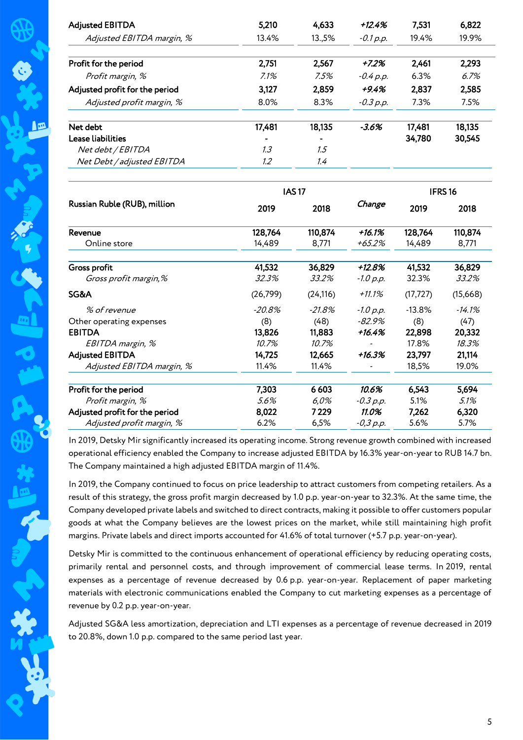| <b>Adjusted EBITDA</b>         | 5,210    | 4,633        | $+12.4%$    | 7,531              | 6,822    |
|--------------------------------|----------|--------------|-------------|--------------------|----------|
| Adjusted EBITDA margin, %      | 13.4%    | 13.,5%       | $-0.1 p.p.$ | 19.4%              | 19.9%    |
| Profit for the period          | 2,751    | 2,567        | $+7.2%$     | 2,461              | 2,293    |
| Profit margin, %               | 7.1%     | 7.5%         | $-0.4 p.p.$ | 6.3%               | 6.7%     |
| Adjusted profit for the period | 3,127    | 2,859        | $+9.4%$     | 2,837              | 2,585    |
| Adjusted profit margin, %      | 8.0%     | 8.3%         | $-0.3 p.p.$ | 7.3%               | 7.5%     |
| Net debt                       | 17,481   | 18,135       | $-3.6%$     | 17,481             | 18,135   |
| <b>Lease liabilities</b>       |          |              |             | 34,780             | 30,545   |
| Net debt / EBITDA              | 1.3      | 1.5          |             |                    |          |
| Net Debt / adjusted EBITDA     | 1.2      | 1.4          |             |                    |          |
|                                |          | <b>IAS17</b> |             | IFRS <sub>16</sub> |          |
| Russian Ruble (RUB), million   | 2019     | 2018         | Change      | 2019               | 2018     |
| Revenue                        | 128,764  | 110,874      | $+16.1%$    | 128,764            | 110,874  |
| Online store                   | 14,489   | 8,771        | $+65.2%$    | 14,489             | 8,771    |
| Gross profit                   | 41,532   | 36,829       | $+12.8%$    | 41,532             | 36,829   |
| Gross profit margin,%          | 32.3%    | 33.2%        | $-1.0 p.p.$ | 32.3%              | 33.2%    |
| SG&A                           | (26,799) | (24, 116)    | $+11.1%$    | (17, 727)          | (15,668) |
| % of revenue                   | $-20.8%$ | $-21.8%$     | $-1.0 p.p.$ | $-13.8%$           | $-14.1%$ |
| Other operating expenses       | (8)      | (48)         | $-82.9%$    | (8)                | (47)     |
| <b>EBITDA</b>                  | 13,826   | 11,883       | $+16.4%$    | 22,898             | 20,332   |
| EBITDA margin, %               | 10.7%    | 10.7%        |             | 17.8%              | 18.3%    |
| <b>Adjusted EBITDA</b>         | 14,725   | 12,665       | $+16.3%$    | 23,797             | 21,114   |
| Adjusted EBITDA margin, %      | 11.4%    | 11.4%        |             | 18,5%              | 19.0%    |
| Profit for the period          | 7,303    | 6603         | 10.6%       | 6,543              | 5,694    |
| Profit margin, %               | 5.6%     | 6,0%         | $-0.3 p.p.$ | 5.1%               | 5.1%     |
| Adjusted profit for the period | 8,022    | 7229         | 11.0%       | 7,262              | 6,320    |
| Adjusted profit margin, %      | 6.2%     | 6,5%         | $-0,3 p.p.$ | 5.6%               | 5.7%     |

In 2019, Detsky Mir significantly increased its operating income. Strong revenue growth combined with increased operational efficiency enabled the Company to increase adjusted EBITDA by 16.3% year-on-year to RUB 14.7 bn. The Company maintained a high adjusted EBITDA margin of 11.4%.

In 2019, the Company continued to focus on price leadership to attract customers from competing retailers. As a result of this strategy, the gross profit margin decreased by 1.0 p.p. year-on-year to 32.3%. At the same time, the Company developed private labels and switched to direct contracts, making it possible to offer customers popular goods at what the Company believes are the lowest prices on the market, while still maintaining high profit margins. Private labels and direct imports accounted for 41.6% of total turnover (+5.7 p.p. year-on-year).

Detsky Mir is committed to the continuous enhancement of operational efficiency by reducing operating costs, primarily rental and personnel costs, and through improvement of commercial lease terms. In 2019, rental expenses as a percentage of revenue decreased by 0.6 p.p. year-on-year. Replacement of paper marketing materials with electronic communications enabled the Company to cut marketing expenses as a percentage of revenue by 0.2 p.p. year-on-year.

Adjusted SG&A less amortization, depreciation and LTI expenses as a percentage of revenue decreased in 2019 to 20.8%, down 1.0 p.p. compared to the same period last year.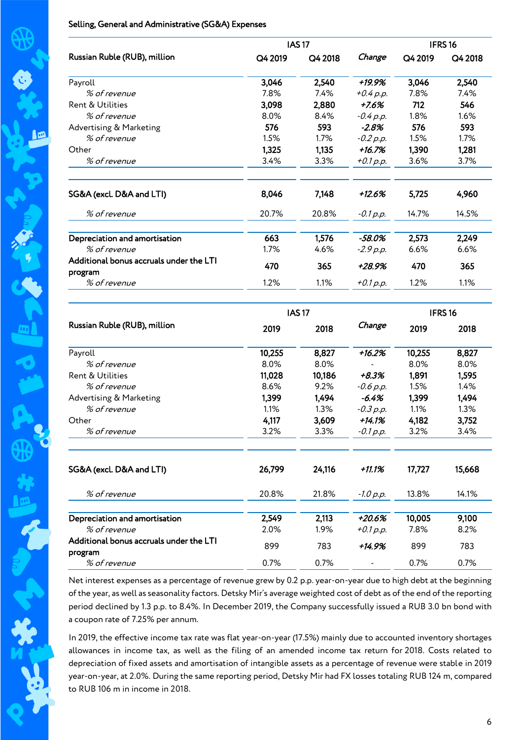## Selling, General and Administrative (SG&A) Expenses

|                                                    |         | <b>IAS17</b> |                              |         | IFRS <sub>16</sub> |  |
|----------------------------------------------------|---------|--------------|------------------------------|---------|--------------------|--|
| Russian Ruble (RUB), million                       | Q4 2019 | Q4 2018      | Change                       | Q4 2019 | Q4 2018            |  |
| Payroll                                            | 3,046   | 2,540        | +19.9%                       | 3,046   | 2,540              |  |
| % of revenue                                       | 7.8%    | 7.4%         | $+0.4 p.p.$                  | 7.8%    | 7.4%               |  |
| Rent & Utilities                                   | 3,098   | 2,880        | $+7.6%$                      | 712     | 546                |  |
| % of revenue                                       | 8.0%    | 8.4%         | $-0.4 p.p.$                  | 1.8%    | 1.6%               |  |
| Advertising & Marketing                            | 576     | 593          | $-2.8%$                      | 576     | 593                |  |
| % of revenue                                       | 1.5%    | 1.7%         | $-0.2 p.p.$                  | 1.5%    | 1.7%               |  |
| Other                                              | 1,325   | 1,135        | $+16.7%$                     | 1,390   | 1,281              |  |
| % of revenue                                       | 3.4%    | 3.3%         | $+0.1 p.p.$                  | 3.6%    | 3.7%               |  |
| SG&A (excl. D&A and LTI)                           | 8,046   | 7,148        | $+12.6%$                     | 5,725   | 4,960              |  |
| % of revenue                                       | 20.7%   | 20.8%        | $-0.1 p.p.$                  | 14.7%   | 14.5%              |  |
| Depreciation and amortisation                      | 663     | 1,576        | $-58.0%$                     | 2,573   | 2,249              |  |
| % of revenue                                       | 1.7%    | 4.6%         | $-2.9 p.p.$                  | 6.6%    | 6.6%               |  |
| Additional bonus accruals under the LTI<br>program | 470     | 365          | +28.9%                       | 470     | 365                |  |
| % of revenue                                       | 1.2%    | 1.1%         | $+0.1 p.p.$                  | 1.2%    | 1.1%               |  |
| Russian Ruble (RUB), million                       |         | <b>IAS17</b> | IFRS <sub>16</sub><br>Change |         |                    |  |
|                                                    | 2019    | 2018         |                              | 2019    | 2018               |  |
| Payroll                                            | 10,255  | 8,827        | $+16.2%$                     | 10,255  | 8,827              |  |
| % of revenue                                       | 8.0%    | 8.0%         |                              | 8.0%    | 8.0%               |  |
| Rent & Utilities                                   | 11,028  | 10,186       | $+8.3%$                      | 1,891   | 1,595              |  |
| % of revenue                                       | 8.6%    | 9.2%         | $-0.6 p.p.$                  | 1.5%    | 1.4%               |  |
| Advertising & Marketing                            | 1,399   | 1,494        | $-6.4%$                      | 1,399   | 1,494              |  |
| % of revenue                                       | 1.1%    | 1.3%         | $-0.3 p.p.$                  | 1.1%    | 1.3%               |  |
| Other                                              | 4,117   | 3,609        | +14.1%                       | 4,182   | 3,752              |  |
| % of revenue                                       | 3.2%    | 3.3%         | -0.1 p.p.                    | 3.2%    | 3.4%               |  |
| SG&A (excl. D&A and LTI)                           | 26,799  | 24,116       | $+11.1%$                     | 17,727  | 15,668             |  |
| % of revenue                                       | 20.8%   | 21.8%        | $-1.0 p.p.$                  | 13.8%   | 14.1%              |  |
| Depreciation and amortisation                      | 2,549   | 2,113        | $+20.6%$                     | 10,005  | 9,100              |  |
| % of revenue                                       | 2.0%    | 1.9%         | $+0.1 p.p.$                  | 7.8%    | 8.2%               |  |
| Additional bonus accruals under the LTI            | 899     | 783          | +14.9%                       | 899     | 783                |  |
| program<br>% of revenue                            | 0.7%    | 0.7%         |                              | 0.7%    | 0.7%               |  |
|                                                    |         |              |                              |         |                    |  |

Net interest expenses as a percentage of revenue grew by 0.2 p.p. year-on-year due to high debt at the beginning of the year, as well as seasonality factors. Detsky Mir's average weighted cost of debt as of the end of the reporting period declined by 1.3 p.p. to 8.4%. In December 2019, the Company successfully issued a RUB 3.0 bn bond with a coupon rate of 7.25% per annum.

In 2019, the effective income tax rate was flat year-on-year (17.5%) mainly due to accounted inventory shortages allowances in income tax, as well as the filing of an amended income tax return for 2018. Costs related to depreciation of fixed assets and amortisation of intangible assets as a percentage of revenue were stable in 2019 year-on-year, at 2.0%. During the same reporting period, Detsky Mir had FX losses totaling RUB 124 m, compared to RUB 106 m in income in 2018.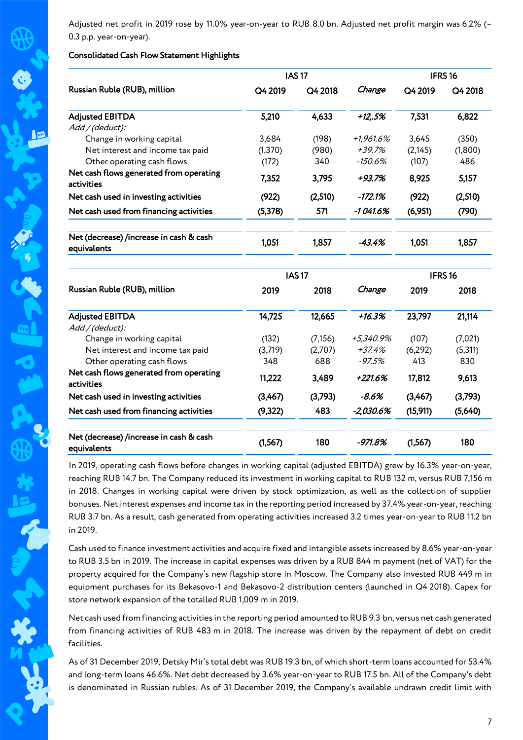Adjusted net profit in 2019 rose by 11.0% year-on-year to RUB 8.0 bn. Adjusted net profit margin was 6.2% (– 0.3 p.p. year-on-year).

# Consolidated Cash Flow Statement Highlights

lø

|                                                        |          | <b>IAS17</b> |           |         | <b>IFRS16</b> |  |
|--------------------------------------------------------|----------|--------------|-----------|---------|---------------|--|
| Russian Ruble (RUB), million                           | Q4 2019  | Q4 2018      | Change    | Q4 2019 | Q4 2018       |  |
| <b>Adjusted EBITDA</b>                                 | 5,210    | 4,633        | +125%     | 7,531   | 6,822         |  |
| Add / (deduct):                                        |          |              |           |         |               |  |
| Change in working capital                              | 3.684    | (198)        | +1,961.6% | 3,645   | (350)         |  |
| Net interest and income tax paid                       | (1, 370) | (980)        | $+39.7%$  | (2,145) | (1,800)       |  |
| Other operating cash flows                             | (172)    | 340          | -150.6%   | (107)   | 486           |  |
| Net cash flows generated from operating<br>activities  | 7,352    | 3,795        | +93.7%    | 8,925   | 5,157         |  |
| Net cash used in investing activities                  | (922)    | (2,510)      | -172.1%   | (922)   | (2,510)       |  |
| Net cash used from financing activities                | (5,378)  | 571          | -1 041.6% | (6,951) | (790)         |  |
| Net (decrease) /increase in cash & cash<br>equivalents | 1,051    | 1,857        | -43.4%    | 1,051   | 1,857         |  |

|                                                        |         | <b>IAS17</b> |           |          | IFRS <sub>16</sub> |  |
|--------------------------------------------------------|---------|--------------|-----------|----------|--------------------|--|
| Russian Ruble (RUB), million                           | 2019    | 2018         | Change    | 2019     | 2018               |  |
| <b>Adjusted EBITDA</b>                                 | 14,725  | 12,665       | +16.3%    | 23,797   | 21,114             |  |
| Add / (deduct):                                        |         |              |           |          |                    |  |
| Change in working capital                              | (132)   | (7,156)      | +5,340.9% | (107)    | (7,021)            |  |
| Net interest and income tax paid                       | (3,719) | (2,707)      | $+37.4%$  | (6, 292) | (5,311)            |  |
| Other operating cash flows                             | 348     | 688          | -97.5%    | 413      | 830                |  |
| Net cash flows generated from operating<br>activities  | 11,222  | 3,489        | +221.6%   | 17,812   | 9,613              |  |
| Net cash used in investing activities                  | (3,467) | (3,793)      | -8.6%     | (3,467)  | (3,793)            |  |
| Net cash used from financing activities                | (9,322) | 483          | -2,030.6% | (15,911) | (5,640)            |  |
| Net (decrease) /increase in cash & cash<br>equivalents | (1,567) | 180          | -971.8%   | (1,567)  | 180                |  |

In 2019, operating cash flows before changes in working capital (adjusted EBITDA) grew by 16.3% year-on-year, reaching RUB 14.7 bn. The Company reduced its investment in working capital to RUB 132 m, versus RUB 7,156 m in 2018. Changes in working capital were driven by stock optimization, as well as the collection of supplier bonuses. Net interest expenses and income tax in the reporting period increased by 37.4% year-on-year, reaching RUB 3.7 bn. As a result, cash generated from operating activities increased 3.2 times year-on-year to RUB 11.2 bn in 2019.

Cash used to finance investment activities and acquire fixed and intangible assets increased by 8.6% year-on-year to RUB 3.5 bn in 2019. The increase in capital expenses was driven by a RUB 844 m payment (net of VAT) for the property acquired for the Company's new flagship store in Moscow. The Company also invested RUB 449 m in equipment purchases for its Bekasovo-1 and Bekasovo-2 distribution centers (launched in Q4 2018). Capex for store network expansion of the totalled RUB 1,009 m in 2019.

Net cash used from financing activities in the reporting period amounted to RUB 9.3 bn, versus net cash generated from financing activities of RUB 483 m in 2018. The increase was driven by the repayment of debt on credit facilities.

As of 31 December 2019, Detsky Mir's total debt was RUB 19.3 bn, of which short-term loans accounted for 53.4% and long-term loans 46.6%. Net debt decreased by 3.6% year-on-year to RUB 17.5 bn. All of the Company's debt is denominated in Russian rubles. As of 31 December 2019, the Company's available undrawn credit limit with

7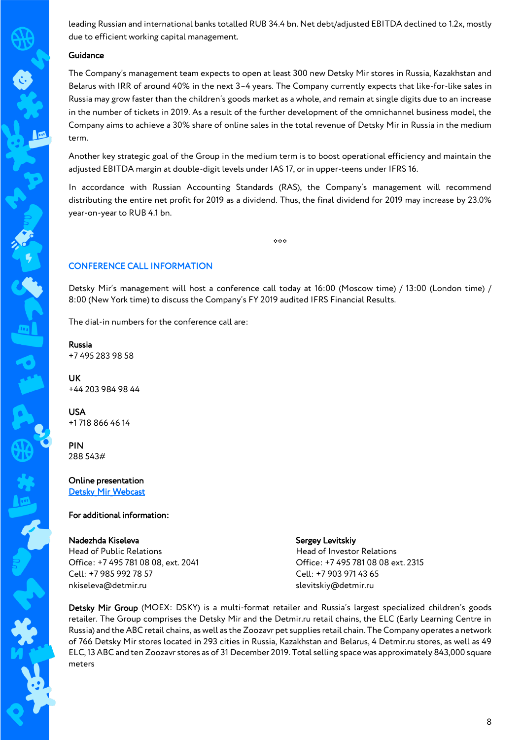leading Russian and international banks totalled RUB 34.4 bn. Net debt/adjusted EBITDA declined to 1.2х, mostly due to efficient working capital management.

#### Guidance

The Company's management team expects to open at least 300 new Detsky Mir stores in Russia, Kazakhstan and Belarus with IRR of around 40% in the next 3–4 years. The Company currently expects that like-for-like sales in Russia may grow faster than the children's goods market as a whole, and remain at single digits due to an increase in the number of tickets in 2019. As a result of the further development of the omnichannel business model, the Company aims to achieve a 30% share of online sales in the total revenue of Detsky Mir in Russia in the medium term.

Another key strategic goal of the Group in the medium term is to boost operational efficiency and maintain the adjusted EBITDA margin at double-digit levels under IAS 17, or in upper-teens under IFRS 16.

In accordance with Russian Accounting Standards (RAS), the Company's management will recommend distributing the entire net profit for 2019 as a dividend. Thus, the final dividend for 2019 may increase by 23.0% year-on-year to RUB 4.1 bn.

 $*$ 

# CONFERENCE CALL INFORMATION

Detsky Mir's management will host a conference call today at 16:00 (Moscow time) / 13:00 (London time) / 8:00 (New York time) to discuss the Company's FY 2019 audited IFRS Financial Results.

The dial-in numbers for the conference call are:

Russia +7 495 283 98 58

UK +44 203 984 98 44

USA +1 718 866 46 14

PIN 288 543#

Online presentation Detsky Mir Webcast

#### For additional information:

#### Nadezhda Kiseleva

Head of Public Relations Office: +7 495 781 08 08, ext. 2041 Cell: +7 985 992 78 57 nkiseleva@detmir.ru

#### Sergey Levitskiy

Head of Investor Relations Office: +7 495 781 08 08 ext. 2315 Cell: +7 903 971 43 65 slevitskiy@detmir.ru

Detsky Mir Group (MOEX: DSKY) is a multi-format retailer and Russia's largest specialized children's goods retailer. The Group comprises the Detsky Mir and the Detmir.ru retail chains, the ELC (Early Learning Centre in Russia) and the ABC retail chains, as well as the Zoozavr pet supplies retail chain. The Company operates a network of 766 Detsky Mir stores located in 293 cities in Russia, Kazakhstan and Belarus, 4 Detmir.ru stores, as well as 49 ELC, 13 ABC and ten Zoozavr stores as of 31 December 2019. Total selling space was approximately 843,000 square meters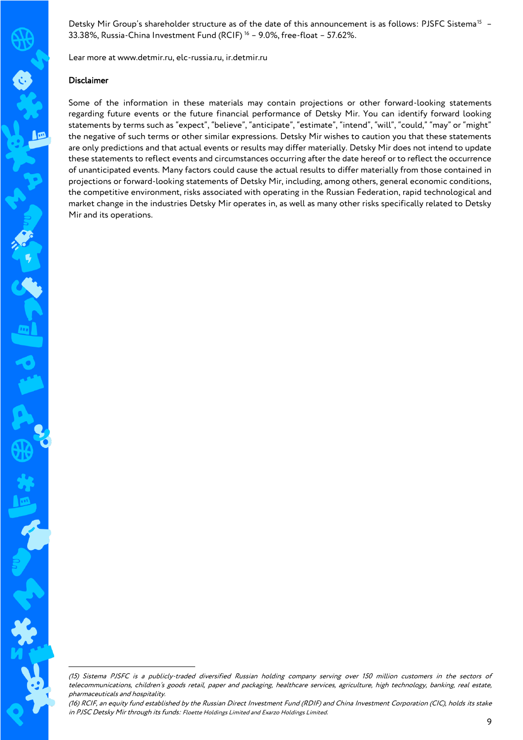Detsky Mir Group's shareholder structure as of the date of this announcement is as follows: PJSFC Sistema<sup>15</sup> -33.38%, Russia-China Investment Fund (RCIF) <sup>16</sup> – 9.0%, free-float – 57.62%.

Lear more at www.detmir.ru, elc-russia.ru, ir.detmir.ru

#### Disclaimer

 $\sqrt{2}$ 

1

Some of the information in these materials may contain projections or other forward-looking statements regarding future events or the future financial performance of Detsky Mir. You can identify forward looking statements by terms such as "expect", "believe", "anticipate", "estimate", "intend", "will", "could," "may" or "might" the negative of such terms or other similar expressions. Detsky Mir wishes to caution you that these statements are only predictions and that actual events or results may differ materially. Detsky Mir does not intend to update these statements to reflect events and circumstances occurring after the date hereof or to reflect the occurrence of unanticipated events. Many factors could cause the actual results to differ materially from those contained in projections or forward-looking statements of Detsky Mir, including, among others, general economic conditions, the competitive environment, risks associated with operating in the Russian Federation, rapid technological and market change in the industries Detsky Mir operates in, as well as many other risks specifically related to Detsky Mir and its operations.

<sup>(15)</sup> Sistema PJSFC is a publicly-traded diversified Russian holding company serving over 150 million customers in the sectors of telecommunications, children's goods retail, paper and packaging, healthcare services, agriculture, high technology, banking, real estate, pharmaceuticals and hospitality.

<sup>(16)</sup> RCIF, an equity fund established by the Russian Direct Investment Fund (RDIF) and China Investment Corporation (CIC), holds its stake in PJSC Detsky Mir through its funds: Floette Holdings Limited and Exarzo Holdings Limited.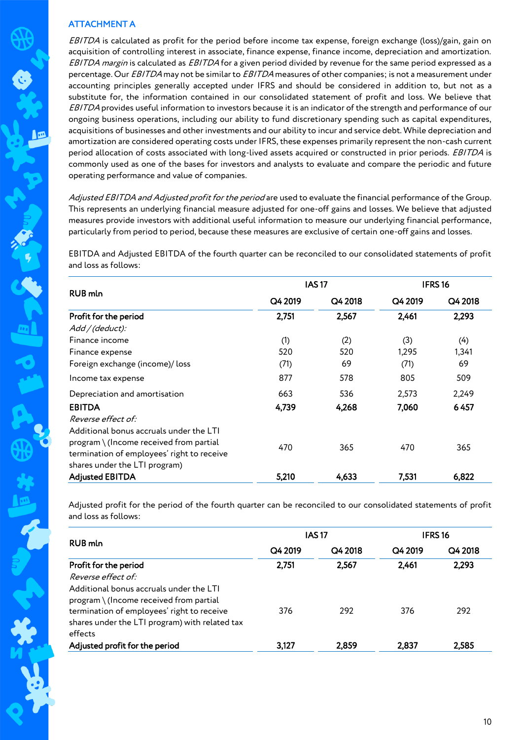# ATTACHMENT A

EBITDA is calculated as profit for the period before income tax expense, foreign exchange (loss)/gain, gain on acquisition of controlling interest in associate, finance expense, finance income, depreciation and amortization. EBITDA margin is calculated as EBITDA for a given period divided by revenue for the same period expressed as a percentage. Our EBITDA may not be similar to EBITDA measures of other companies; is not a measurement under accounting principles generally accepted under IFRS and should be considered in addition to, but not as a substitute for, the information contained in our consolidated statement of profit and loss. We believe that EBITDA provides useful information to investors because it is an indicator of the strength and performance of our ongoing business operations, including our ability to fund discretionary spending such as capital expenditures, acquisitions of businesses and other investments and our ability to incur and service debt. While depreciation and amortization are considered operating costs under IFRS, these expenses primarily represent the non-cash current period allocation of costs associated with long-lived assets acquired or constructed in prior periods. EBITDA is commonly used as one of the bases for investors and analysts to evaluate and compare the periodic and future operating performance and value of companies.

Adjusted EBITDA and Adjusted profit for the period are used to evaluate the financial performance of the Group. This represents an underlying financial measure adjusted for one-off gains and losses. We believe that adjusted measures provide investors with additional useful information to measure our underlying financial performance, particularly from period to period, because these measures are exclusive of certain one-off gains and losses.

EBITDA and Adjusted EBITDA of the fourth quarter can be reconciled to our consolidated statements of profit and loss as follows:

|                                                                                                                                                                     |         | <b>IAS17</b> | IFRS <sub>16</sub> |         |
|---------------------------------------------------------------------------------------------------------------------------------------------------------------------|---------|--------------|--------------------|---------|
| <b>RUB</b> mln                                                                                                                                                      | Q4 2019 | Q4 2018      | Q4 2019            | Q4 2018 |
| Profit for the period                                                                                                                                               | 2,751   | 2,567        | 2,461              | 2,293   |
| Add / (deduct):                                                                                                                                                     |         |              |                    |         |
| Finance income                                                                                                                                                      | (1)     | (2)          | (3)                | (4)     |
| Finance expense                                                                                                                                                     | 520     | 520          | 1,295              | 1,341   |
| Foreign exchange (income)/loss                                                                                                                                      | (71)    | 69           | (71)               | 69      |
| Income tax expense                                                                                                                                                  | 877     | 578          | 805                | 509     |
| Depreciation and amortisation                                                                                                                                       | 663     | 536          | 2,573              | 2,249   |
| <b>EBITDA</b>                                                                                                                                                       | 4,739   | 4,268        | 7,060              | 6457    |
| Reverse effect of:                                                                                                                                                  |         |              |                    |         |
| Additional bonus accruals under the LTI<br>$program \ (Income received from partial$<br>termination of employees' right to receive<br>shares under the LTI program) | 470     | 365          | 470                | 365     |
| <b>Adjusted EBITDA</b>                                                                                                                                              | 5,210   | 4,633        | 7,531              | 6,822   |

Adjusted profit for the period of the fourth quarter can be reconciled to our consolidated statements of profit and loss as follows:

|                                                                                                         |         | <b>IAS17</b> |         | <b>IFRS16</b> |  |
|---------------------------------------------------------------------------------------------------------|---------|--------------|---------|---------------|--|
| <b>RUB</b> mln                                                                                          | Q4 2019 | Q4 2018      | Q4 2019 | Q4 2018       |  |
| Profit for the period                                                                                   | 2,751   | 2,567        | 2,461   | 2,293         |  |
| Reverse effect of:                                                                                      |         |              |         |               |  |
| Additional bonus accruals under the LTI<br>program \ (Income received from partial                      |         |              |         |               |  |
| termination of employees' right to receive<br>shares under the LTI program) with related tax<br>effects | 376     | 292          | 376     | 292           |  |
|                                                                                                         |         |              |         |               |  |
| Adjusted profit for the period                                                                          | 3,127   | 2,859        | 2.837   | 2.585         |  |